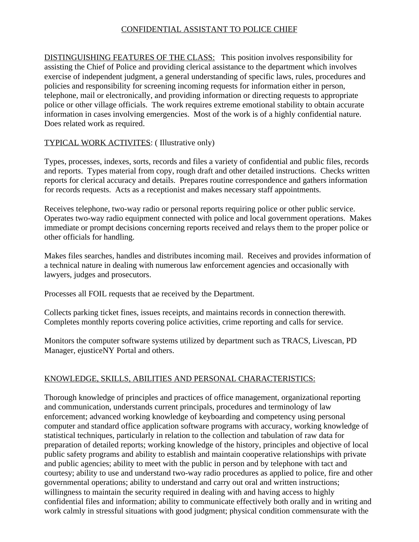## CONFIDENTIAL ASSISTANT TO POLICE CHIEF

DISTINGUISHING FEATURES OF THE CLASS: This position involves responsibility for assisting the Chief of Police and providing clerical assistance to the department which involves exercise of independent judgment, a general understanding of specific laws, rules, procedures and policies and responsibility for screening incoming requests for information either in person, telephone, mail or electronically, and providing information or directing requests to appropriate police or other village officials. The work requires extreme emotional stability to obtain accurate information in cases involving emergencies. Most of the work is of a highly confidential nature. Does related work as required.

TYPICAL WORK ACTIVITES: ( Illustrative only)

Types, processes, indexes, sorts, records and files a variety of confidential and public files, records and reports. Types material from copy, rough draft and other detailed instructions. Checks written reports for clerical accuracy and details. Prepares routine correspondence and gathers information for records requests. Acts as a receptionist and makes necessary staff appointments.

Receives telephone, two-way radio or personal reports requiring police or other public service. Operates two-way radio equipment connected with police and local government operations. Makes immediate or prompt decisions concerning reports received and relays them to the proper police or other officials for handling.

Makes files searches, handles and distributes incoming mail. Receives and provides information of a technical nature in dealing with numerous law enforcement agencies and occasionally with lawyers, judges and prosecutors.

Processes all FOIL requests that ae received by the Department.

Collects parking ticket fines, issues receipts, and maintains records in connection therewith. Completes monthly reports covering police activities, crime reporting and calls for service.

Monitors the computer software systems utilized by department such as TRACS, Livescan, PD Manager, ejusticeNY Portal and others.

## KNOWLEDGE, SKILLS, ABILITIES AND PERSONAL CHARACTERISTICS:

Thorough knowledge of principles and practices of office management, organizational reporting and communication, understands current principals, procedures and terminology of law enforcement; advanced working knowledge of keyboarding and competency using personal computer and standard office application software programs with accuracy, working knowledge of statistical techniques, particularly in relation to the collection and tabulation of raw data for preparation of detailed reports; working knowledge of the history, principles and objective of local public safety programs and ability to establish and maintain cooperative relationships with private and public agencies; ability to meet with the public in person and by telephone with tact and courtesy; ability to use and understand two-way radio procedures as applied to police, fire and other governmental operations; ability to understand and carry out oral and written instructions; willingness to maintain the security required in dealing with and having access to highly confidential files and information; ability to communicate effectively both orally and in writing and work calmly in stressful situations with good judgment; physical condition commensurate with the